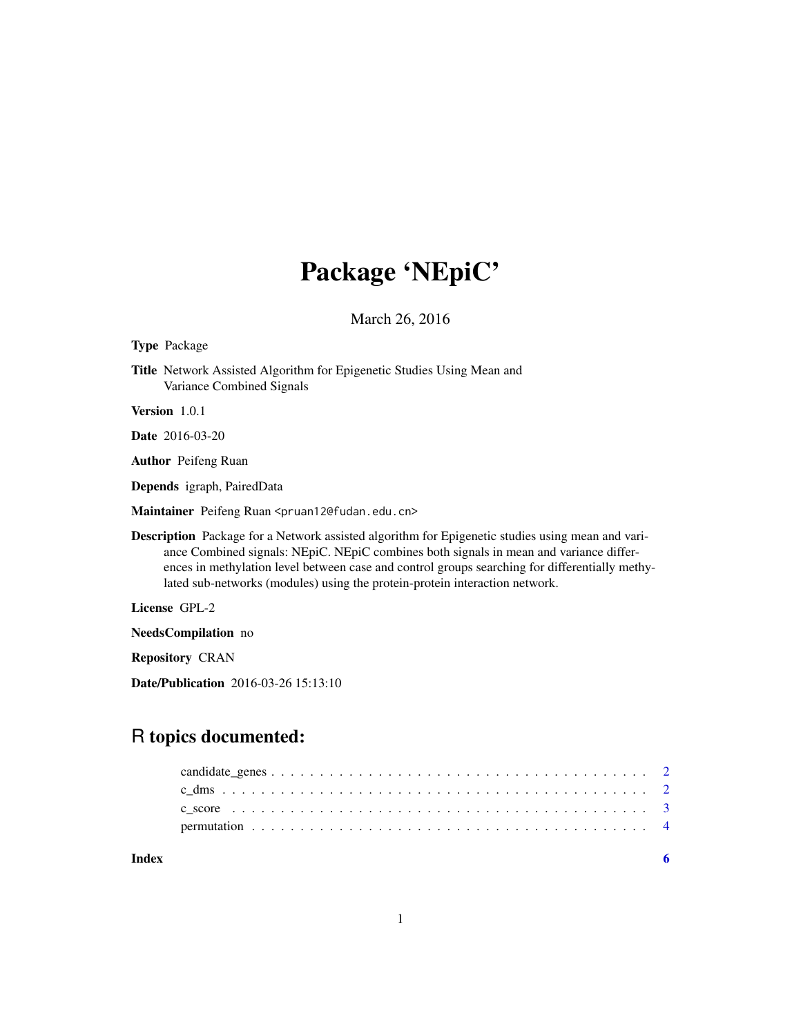## Package 'NEpiC'

March 26, 2016

Type Package

Title Network Assisted Algorithm for Epigenetic Studies Using Mean and Variance Combined Signals

Version 1.0.1

Date 2016-03-20

Author Peifeng Ruan

Depends igraph, PairedData

Maintainer Peifeng Ruan <pruan12@fudan.edu.cn>

Description Package for a Network assisted algorithm for Epigenetic studies using mean and variance Combined signals: NEpiC. NEpiC combines both signals in mean and variance differences in methylation level between case and control groups searching for differentially methylated sub-networks (modules) using the protein-protein interaction network.

License GPL-2

NeedsCompilation no

Repository CRAN

Date/Publication 2016-03-26 15:13:10

### R topics documented:

**Index** [6](#page-5-0) **6**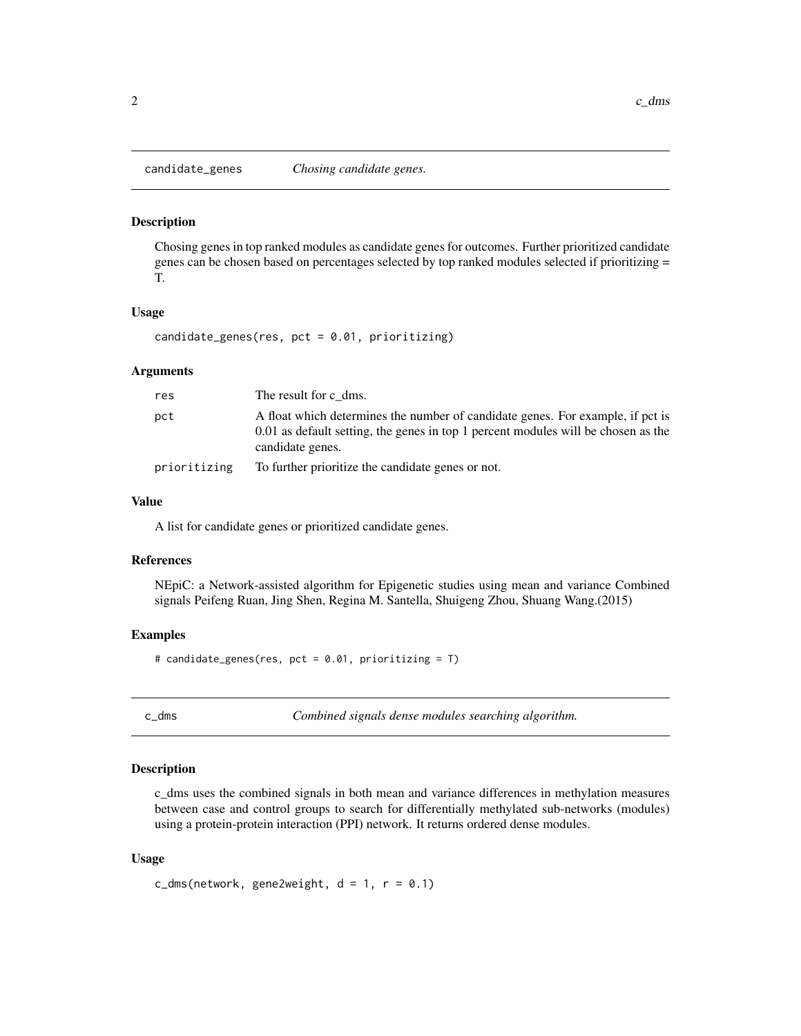<span id="page-1-0"></span>

#### Description

Chosing genes in top ranked modules as candidate genes for outcomes. Further prioritized candidate genes can be chosen based on percentages selected by top ranked modules selected if prioritizing = T.

#### Usage

candidate\_genes(res, pct = 0.01, prioritizing)

#### Arguments

| res          | The result for c dms.                                                                                                                                                                   |
|--------------|-----------------------------------------------------------------------------------------------------------------------------------------------------------------------------------------|
| pct          | A float which determines the number of candidate genes. For example, if pct is<br>0.01 as default setting, the genes in top 1 percent modules will be chosen as the<br>candidate genes. |
| prioritizing | To further prioritize the candidate genes or not.                                                                                                                                       |

#### Value

A list for candidate genes or prioritized candidate genes.

#### References

NEpiC: a Network-assisted algorithm for Epigenetic studies using mean and variance Combined signals Peifeng Ruan, Jing Shen, Regina M. Santella, Shuigeng Zhou, Shuang Wang.(2015)

#### Examples

# candidate\_genes(res, pct = 0.01, prioritizing = T)

c\_dms *Combined signals dense modules searching algorithm.*

#### Description

c\_dms uses the combined signals in both mean and variance differences in methylation measures between case and control groups to search for differentially methylated sub-networks (modules) using a protein-protein interaction (PPI) network. It returns ordered dense modules.

#### Usage

```
c_{\text{dms}}(network, gene2weight, d = 1, r = 0.1)
```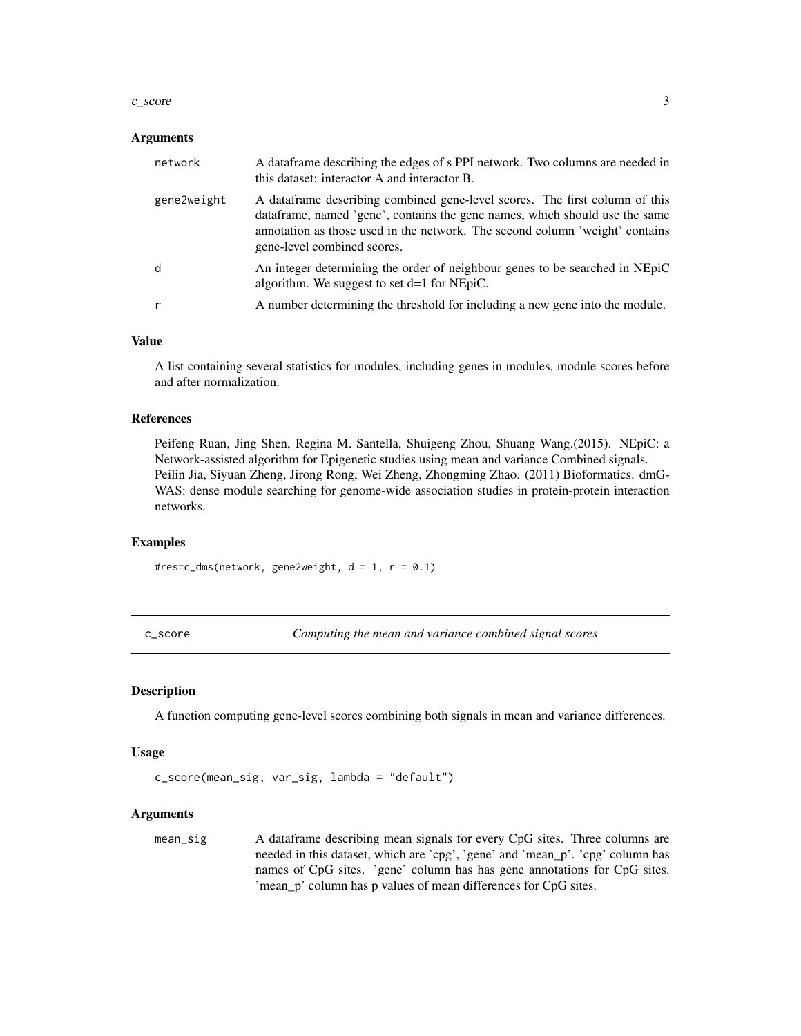#### <span id="page-2-0"></span> $c$ \_score  $\overline{3}$

#### Arguments

| network     | A dataframe describing the edges of s PPI network. Two columns are needed in<br>this dataset: interactor A and interactor B.                                                                                                                                              |
|-------------|---------------------------------------------------------------------------------------------------------------------------------------------------------------------------------------------------------------------------------------------------------------------------|
| gene2weight | A dataframe describing combined gene-level scores. The first column of this<br>dataframe, named 'gene', contains the gene names, which should use the same<br>annotation as those used in the network. The second column 'weight' contains<br>gene-level combined scores. |
| d           | An integer determining the order of neighbour genes to be searched in NEpiC<br>algorithm. We suggest to set $d=1$ for NEpiC.                                                                                                                                              |
|             | A number determining the threshold for including a new gene into the module.                                                                                                                                                                                              |

#### Value

A list containing several statistics for modules, including genes in modules, module scores before and after normalization.

#### References

Peifeng Ruan, Jing Shen, Regina M. Santella, Shuigeng Zhou, Shuang Wang.(2015). NEpiC: a Network-assisted algorithm for Epigenetic studies using mean and variance Combined signals. Peilin Jia, Siyuan Zheng, Jirong Rong, Wei Zheng, Zhongming Zhao. (2011) Bioformatics. dmG-WAS: dense module searching for genome-wide association studies in protein-protein interaction networks.

#### Examples

#res=c\_dms(network, gene2weight, d = 1, r = 0.1)

c\_score *Computing the mean and variance combined signal scores*

#### Description

A function computing gene-level scores combining both signals in mean and variance differences.

#### Usage

c\_score(mean\_sig, var\_sig, lambda = "default")

#### Arguments

mean\_sig A dataframe describing mean signals for every CpG sites. Three columns are needed in this dataset, which are 'cpg', 'gene' and 'mean\_p'. 'cpg' column has names of CpG sites. 'gene' column has has gene annotations for CpG sites. 'mean\_p' column has p values of mean differences for CpG sites.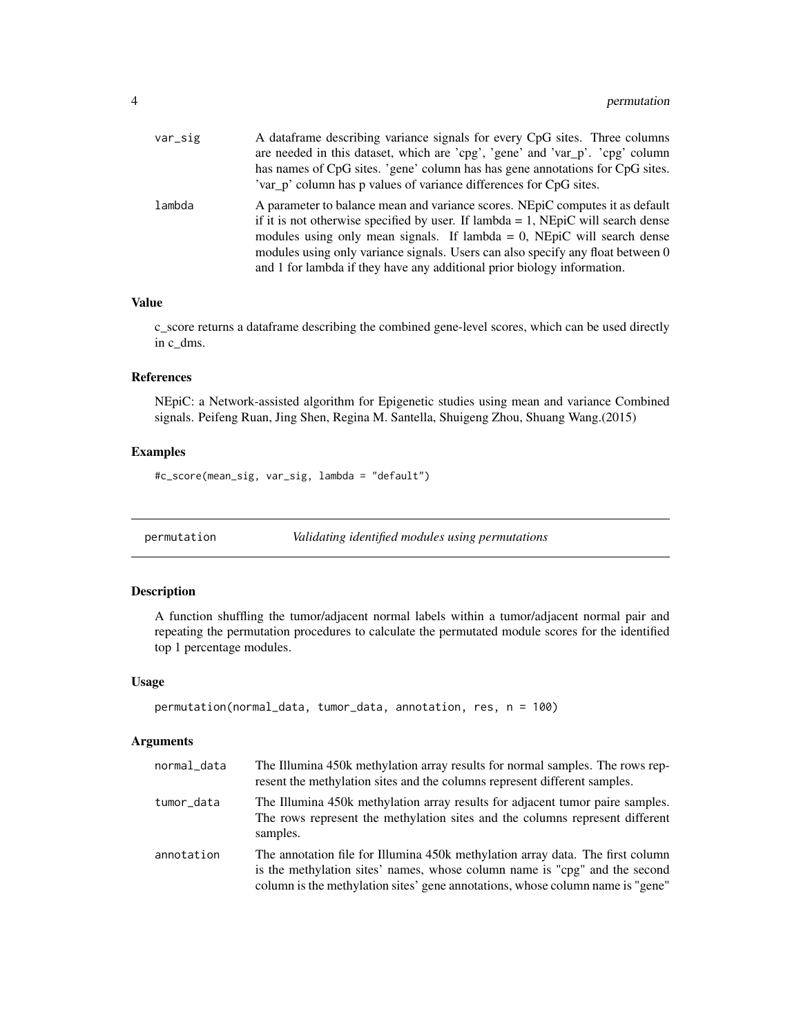<span id="page-3-0"></span>

| var_sig | A dataframe describing variance signals for every CpG sites. Three columns          |
|---------|-------------------------------------------------------------------------------------|
|         | are needed in this dataset, which are 'cpg', 'gene' and 'var_p'. 'cpg' column       |
|         | has names of CpG sites. 'gene' column has has gene annotations for CpG sites.       |
|         | 'var_p' column has p values of variance differences for CpG sites.                  |
| lambda  | A parameter to balance mean and variance scores. NEpiC computes it as default       |
|         | if it is not otherwise specified by user. If $lambda = 1$ , NEpiC will search dense |
|         | modules using only mean signals. If lambda = 0, NEpiC will search dense             |
|         | modules using only variance signals. Users can also specify any float between 0     |
|         | and 1 for lambda if they have any additional prior biology information.             |

#### Value

c\_score returns a dataframe describing the combined gene-level scores, which can be used directly in c\_dms.

#### References

NEpiC: a Network-assisted algorithm for Epigenetic studies using mean and variance Combined signals. Peifeng Ruan, Jing Shen, Regina M. Santella, Shuigeng Zhou, Shuang Wang.(2015)

#### Examples

#c\_score(mean\_sig, var\_sig, lambda = "default")

permutation *Validating identified modules using permutations*

#### Description

A function shuffling the tumor/adjacent normal labels within a tumor/adjacent normal pair and repeating the permutation procedures to calculate the permutated module scores for the identified top 1 percentage modules.

#### Usage

```
permutation(normal_data, tumor_data, annotation, res, n = 100)
```
#### Arguments

| normal_data | The Illumina 450k methylation array results for normal samples. The rows rep-<br>resent the methylation sites and the columns represent different samples.                                                                                     |
|-------------|------------------------------------------------------------------------------------------------------------------------------------------------------------------------------------------------------------------------------------------------|
| tumor_data  | The Illumina 450k methylation array results for adjacent tumor paire samples.<br>The rows represent the methylation sites and the columns represent different<br>samples.                                                                      |
| annotation  | The annotation file for Illumina 450k methylation array data. The first column<br>is the methylation sites' names, whose column name is "cpg" and the second<br>column is the methylation sites' gene annotations, whose column name is "gene" |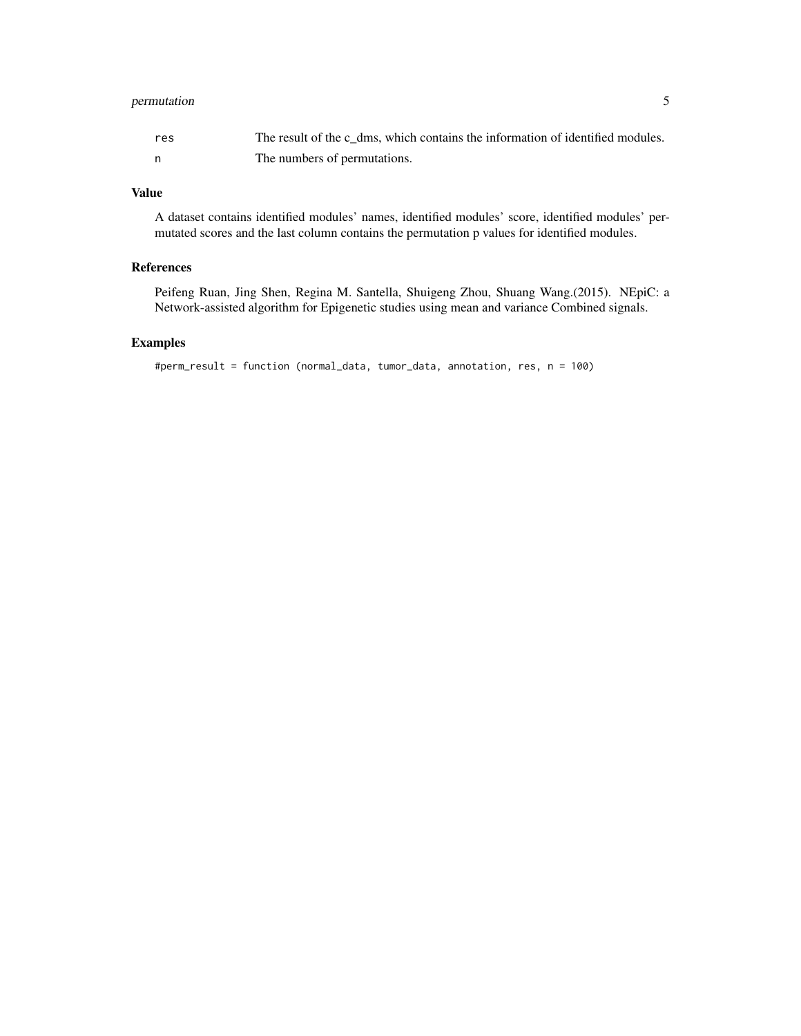#### permutation 5

| res | The result of the c dms, which contains the information of identified modules. |
|-----|--------------------------------------------------------------------------------|
|     | The numbers of permutations.                                                   |

#### Value

A dataset contains identified modules' names, identified modules' score, identified modules' permutated scores and the last column contains the permutation p values for identified modules.

#### References

Peifeng Ruan, Jing Shen, Regina M. Santella, Shuigeng Zhou, Shuang Wang.(2015). NEpiC: a Network-assisted algorithm for Epigenetic studies using mean and variance Combined signals.

#### Examples

```
#perm_result = function (normal_data, tumor_data, annotation, res, n = 100)
```